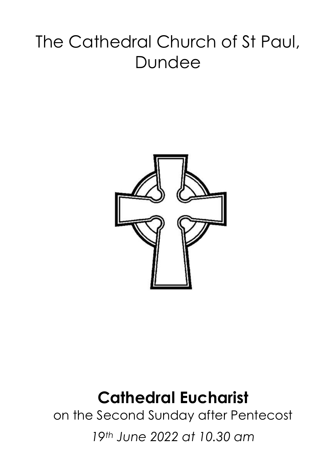# The Cathedral Church of St Paul, Dundee



# **Cathedral Eucharist**

on the Second Sunday after Pentecost *19th June 2022 at 10.30 am*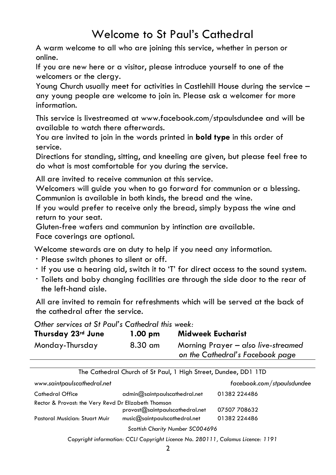# Welcome to St Paul's Cathedral

A warm welcome to all who are joining this service, whether in person or online.

If you are new here or a visitor, please introduce yourself to one of the welcomers or the clergy.

Young Church usually meet for activities in Castlehill House during the service – any young people are welcome to join in. Please ask a welcomer for more information.

This service is livestreamed at www.facebook.com/stpaulsdundee and will be available to watch there afterwards.

You are invited to join in the words printed in **bold type** in this order of service.

Directions for standing, sitting, and kneeling are given, but please feel free to do what is most comfortable for you during the service.

All are invited to receive communion at this service.

Welcomers will guide you when to go forward for communion or a blessing. Communion is available in both kinds, the bread and the wine.

If you would prefer to receive only the bread, simply bypass the wine and return to your seat.

Gluten-free wafers and communion by intinction are available.

Face coverings are optional.

Welcome stewards are on duty to help if you need any information.

Please switch phones to silent or off.

*Other services at St Paul's Cathedral this week:*

- If you use a hearing aid, switch it to 'T' for direct access to the sound system.
- Toilets and baby changing facilities are through the side door to the rear of the left-hand aisle.

All are invited to remain for refreshments which will be served at the back of the cathedral after the service.

| Omer services of St Pours Comediations week: |                   |                                                                         |  |
|----------------------------------------------|-------------------|-------------------------------------------------------------------------|--|
| Thursday 23rd June                           | $1.00 \text{ pm}$ | <b>Midweek Eucharist</b>                                                |  |
| Monday-Thursday                              | $8.30 \text{ cm}$ | Morning Prayer – also live-streamed<br>on the Cathedral's Facebook page |  |

| The Cathedral Church of St Paul, 1 High Street, Dundee, DD1 1TD                         |                               |                            |  |  |
|-----------------------------------------------------------------------------------------|-------------------------------|----------------------------|--|--|
| www.saintpaulscathedral.net                                                             |                               | facebook.com/stpaulsdundee |  |  |
| <b>Cathedral Office</b>                                                                 | admin@saintpaulscathedral.net | 01382 224486               |  |  |
| Rector & Provost: the Very Revd Dr Elizabeth Thomson<br>provost@saintpaulscathedral.net |                               | 07507 708632               |  |  |
| Pastoral Musician: Stuart Muir                                                          | music@saintpaulscathedral.net | 01382 224486               |  |  |
| Scottish Charity Number SC004696                                                        |                               |                            |  |  |
|                                                                                         |                               |                            |  |  |

*Copyright information: CCLI Copyright Licence No. 280111, Calamus Licence: 1191*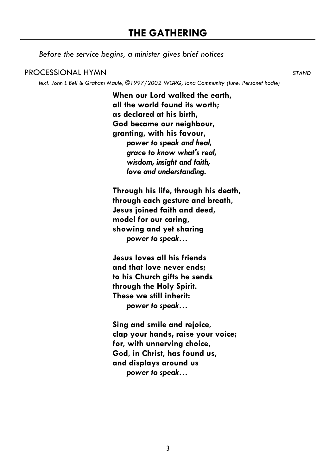*Before the service begins, a minister gives brief notices*

#### PROCESSIONAL HYMN *STAND*

 *text: John L Bell & Graham Maule; ©1997/2002 WGRG, Iona Community (tune: Personet hodie)*

**When our Lord walked the earth, all the world found its worth; as declared at his birth, God became our neighbour, granting, with his favour,**  *power to speak and heal, grace to know what's real, wisdom, insight and faith, love and understanding.*

**Through his life, through his death, through each gesture and breath, Jesus joined faith and deed, model for our caring, showing and yet sharing**  *power to speak…*

**Jesus loves all his friends and that love never ends; to his Church gifts he sends through the Holy Spirit. These we still inherit:**  *power to speak…*

**Sing and smile and rejoice, clap your hands, raise your voice; for, with unnerving choice, God, in Christ, has found us, and displays around us**  *power to speak…*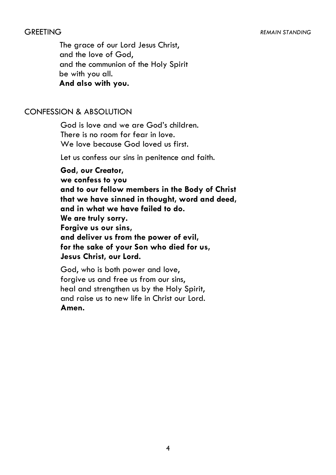The grace of our Lord Jesus Christ, and the love of God, and the communion of the Holy Spirit be with you all. **And also with you.**

### CONFESSION & ABSOLUTION

God is love and we are God's children. There is no room for fear in love. We love because God loved us first.

Let us confess our sins in penitence and faith.

**God, our Creator, we confess to you and to our fellow members in the Body of Christ that we have sinned in thought, word and deed, and in what we have failed to do. We are truly sorry. Forgive us our sins, and deliver us from the power of evil, for the sake of your Son who died for us, Jesus Christ, our Lord.** 

God, who is both power and love, forgive us and free us from our sins, heal and strengthen us by the Holy Spirit, and raise us to new life in Christ our Lord. **Amen.**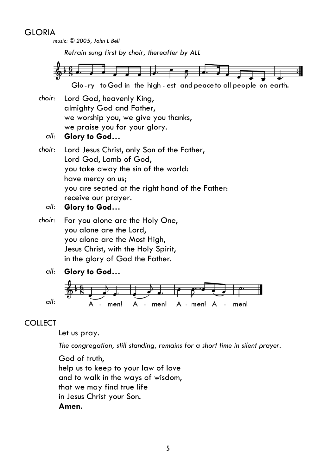**GLORIA** 



God of truth, help us to keep to your law of love and to walk in the ways of wisdom, that we may find true life in Jesus Christ your Son. **Amen.**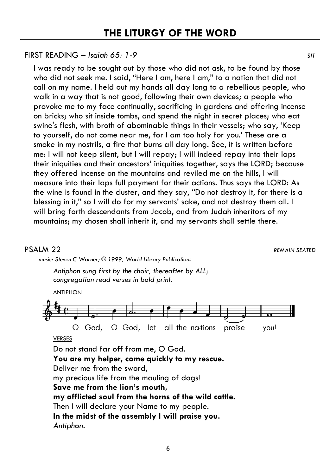#### **FIRST READING –** *Isaiah 65:* **1-9** SIT

I was ready to be sought out by those who did not ask, to be found by those who did not seek me. I said, "Here I am, here I am," to a nation that did not call on my name. I held out my hands all day long to a rebellious people, who walk in a way that is not good, following their own devices; a people who provoke me to my face continually, sacrificing in gardens and offering incense on bricks; who sit inside tombs, and spend the night in secret places; who eat swine's flesh, with broth of abominable things in their vessels; who say, 'Keep to yourself, do not come near me, for I am too holy for you.' These are a smoke in my nostrils, a fire that burns all day long. See, it is written before me: I will not keep silent, but I will repay; I will indeed repay into their laps their iniquities and their ancestors' iniquities together, says the LORD; because they offered incense on the mountains and reviled me on the hills, I will measure into their laps full payment for their actions. Thus says the LORD: As the wine is found in the cluster, and they say, "Do not destroy it, for there is a blessing in it," so I will do for my servants' sake, and not destroy them all. I will bring forth descendants from Jacob, and from Judah inheritors of my mountains; my chosen shall inherit it, and my servants shall settle there.

#### PSALM 22 *REMAIN SEATED*

 *music: Steven C Warner; © 1999, World Library Publications*

*Antiphon sung first by the choir, thereafter by ALL; congregation read verses in bold print.*

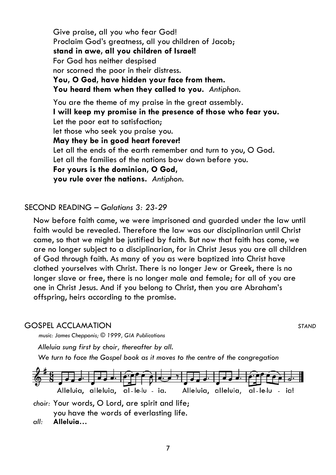Give praise, all you who fear God! Proclaim God's greatness, all you children of Jacob; **stand in awe, all you children of Israel!** For God has neither despised nor scorned the poor in their distress. **You, O God, have hidden your face from them. You heard them when they called to you.** *Antiphon.* You are the theme of my praise in the great assembly. **I will keep my promise in the presence of those who fear you.** Let the poor eat to satisfaction; let those who seek you praise you. **May they be in good heart forever!** Let all the ends of the earth remember and turn to you, O God. Let all the families of the nations bow down before you. **For yours is the dominion, O God, you rule over the nations.** *Antiphon.*

#### SECOND READING – *Galatians 3: 23-29*

Now before faith came, we were imprisoned and guarded under the law until faith would be revealed. Therefore the law was our disciplinarian until Christ came, so that we might be justified by faith. But now that faith has come, we are no longer subject to a disciplinarian, for in Christ Jesus you are all children of God through faith. As many of you as were baptized into Christ have clothed yourselves with Christ. There is no longer Jew or Greek, there is no longer slave or free, there is no longer male and female; for all of you are one in Christ Jesus. And if you belong to Christ, then you are Abraham's offspring, heirs according to the promise.

#### GOSPEL ACCLAMATION *STAND*

 *music: James Chepponis; © 1999, GIA Publications*

 *Alleluia sung first by choir, thereafter by all.*

 *We turn to face the Gospel book as it moves to the centre of the congregation*



 *choir:* Your words, O Lord, are spirit and life;

you have the words of everlasting life.

 *all:* **Alleluia…**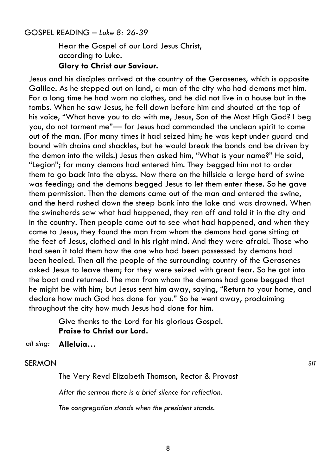#### GOSPEL READING – *Luke 8: 26-39*

Hear the Gospel of our Lord Jesus Christ, according to Luke.

#### **Glory to Christ our Saviour.**

Jesus and his disciples arrived at the country of the Gerasenes, which is opposite Galilee. As he stepped out on land, a man of the city who had demons met him. For a long time he had worn no clothes, and he did not live in a house but in the tombs. When he saw Jesus, he fell down before him and shouted at the top of his voice, "What have you to do with me, Jesus, Son of the Most High God? I beg you, do not torment me"— for Jesus had commanded the unclean spirit to come out of the man. (For many times it had seized him; he was kept under guard and bound with chains and shackles, but he would break the bonds and be driven by the demon into the wilds.) Jesus then asked him, "What is your name?" He said, "Legion"; for many demons had entered him. They begged him not to order them to go back into the abyss. Now there on the hillside a large herd of swine was feeding; and the demons begged Jesus to let them enter these. So he gave them permission. Then the demons came out of the man and entered the swine, and the herd rushed down the steep bank into the lake and was drowned. When the swineherds saw what had happened, they ran off and told it in the city and in the country. Then people came out to see what had happened, and when they came to Jesus, they found the man from whom the demons had gone sitting at the feet of Jesus, clothed and in his right mind. And they were afraid. Those who had seen it told them how the one who had been possessed by demons had been healed. Then all the people of the surrounding country of the Gerasenes asked Jesus to leave them; for they were seized with great fear. So he got into the boat and returned. The man from whom the demons had gone begged that he might be with him; but Jesus sent him away, saying, "Return to your home, and declare how much God has done for you." So he went away, proclaiming throughout the city how much Jesus had done for him.

> Give thanks to the Lord for his glorious Gospel. **Praise to Christ our Lord.**

*all sing:* **Alleluia…** 

**SERMON** SIT

The Very Revd Elizabeth Thomson, Rector & Provost

*After the sermon there is a brief silence for reflection.*

*The congregation stands when the president stands.*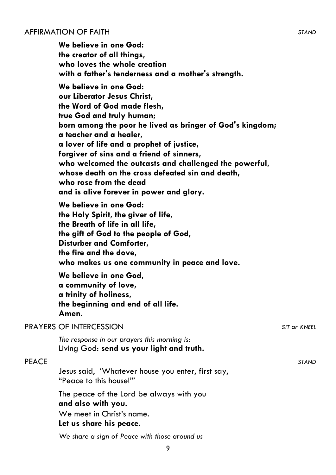#### AFFIRMATION OF FAITH *STAND*

**We believe in one God: the creator of all things, who loves the whole creation with a father's tenderness and a mother's strength. We believe in one God: our Liberator Jesus Christ, the Word of God made flesh, true God and truly human; born among the poor he lived as bringer of God's kingdom; a teacher and a healer, a lover of life and a prophet of justice, forgiver of sins and a friend of sinners, who welcomed the outcasts and challenged the powerful, whose death on the cross defeated sin and death, who rose from the dead and is alive forever in power and glory. We believe in one God: the Holy Spirit, the giver of life, the Breath of life in all life, the gift of God to the people of God, Disturber and Comforter, the fire and the dove, who makes us one community in peace and love. We believe in one God, a community of love, a trinity of holiness, the beginning and end of all life. Amen.** PRAYERS OF INTERCESSION *SIT or KNEEL The response in our prayers this morning is:* Living God: **send us your light and truth.** PEACE *STAND* Jesus said, 'Whatever house you enter, first say, "Peace to this house!"' The peace of the Lord be always with you **and also with you.**  We meet in Christ's name. **Let us share his peace.** *We share a sign of Peace with those around us*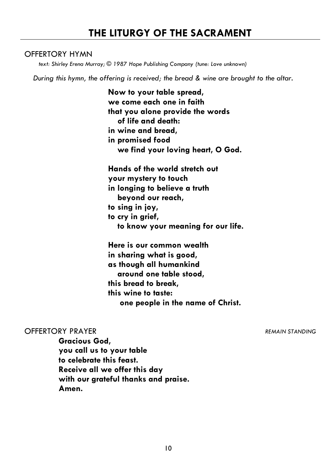## **THE LITURGY OF THE SACRAMENT**

#### OFFERTORY HYMN

 *text: Shirley Erena Murray; © 1987 Hope Publishing Company (tune: Love unknown)*

 *During this hymn, the offering is received; the bread & wine are brought to the altar.*

**Now to your table spread, we come each one in faith that you alone provide the words of life and death: in wine and bread, in promised food we find your loving heart, O God.**

**Hands of the world stretch out your mystery to touch in longing to believe a truth beyond our reach, to sing in joy, to cry in grief,**

 **to know your meaning for our life.**

**Here is our common wealth in sharing what is good, as though all humankind around one table stood, this bread to break, this wine to taste: one people in the name of Christ.**

#### OFFERTORY PRAYER *REMAIN STANDING*

**Gracious God, you call us to your table to celebrate this feast. Receive all we offer this day with our grateful thanks and praise. Amen.**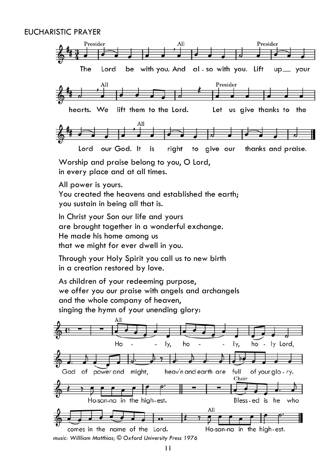#### EUCHARISTIC PRAYER



are brought together in a wonderful exchange. He made his home among us that we might for ever dwell in you.

Through your Holy Spirit you call us to new birth in a creation restored by love.

As children of your redeeming purpose, we offer you our praise with angels and archangels and the whole company of heaven, singing the hymn of your unending glory:

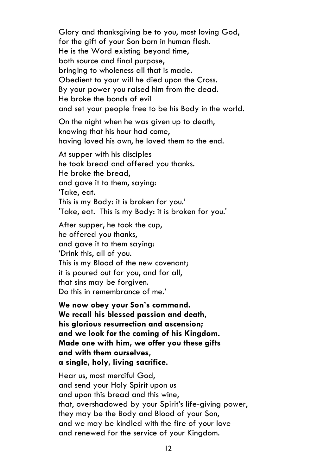Glory and thanksgiving be to you, most loving God, for the gift of your Son born in human flesh. He is the Word existing beyond time, both source and final purpose, bringing to wholeness all that is made. Obedient to your will he died upon the Cross. By your power you raised him from the dead. He broke the bonds of evil and set your people free to be his Body in the world.

On the night when he was given up to death, knowing that his hour had come, having loved his own, he loved them to the end.

At supper with his disciples he took bread and offered you thanks. He broke the bread, and gave it to them, saying: 'Take, eat. This is my Body: it is broken for you.' 'Take, eat. This is my Body: it is broken for you.'

After supper, he took the cup, he offered you thanks, and gave it to them saying: 'Drink this, all of you. This is my Blood of the new covenant; it is poured out for you, and for all, that sins may be forgiven. Do this in remembrance of me.'

**We now obey your Son's command. We recall his blessed passion and death, his glorious resurrection and ascension; and we look for the coming of his Kingdom. Made one with him, we offer you these gifts and with them ourselves, a single, holy, living sacrifice.** 

Hear us, most merciful God, and send your Holy Spirit upon us and upon this bread and this wine, that, overshadowed by your Spirit's life-giving power, they may be the Body and Blood of your Son, and we may be kindled with the fire of your love and renewed for the service of your Kingdom.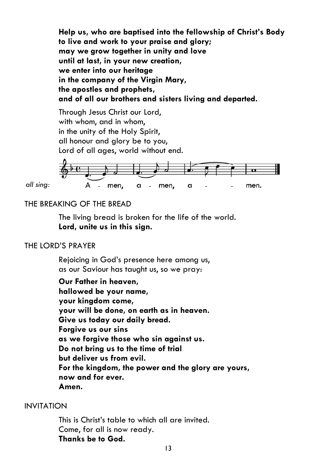**Help us, who are baptised into the fellowship of Christ's Body to live and work to your praise and glory; may we grow together in unity and love until at last, in your new creation, we enter into our heritage in the company of the Virgin Mary, the apostles and prophets, and of all our brothers and sisters living and departed.** 

Through Jesus Christ our Lord, with whom, and in whom, in the unity of the Holy Spirit, all honour and glory be to you, Lord of all ages, world without end.



*all sing:*

#### THE BREAKING OF THE BREAD

The living bread is broken for the life of the world. **Lord, unite us in this sign.**

#### THE LORD'S PRAYER

Rejoicing in God's presence here among us, as our Saviour has taught us, so we pray:

**Our Father in heaven, hallowed be your name, your kingdom come, your will be done, on earth as in heaven. Give us today our daily bread. Forgive us our sins as we forgive those who sin against us. Do not bring us to the time of trial but deliver us from evil. For the kingdom, the power and the glory are yours, now and for ever. Amen.**

#### INVITATION

This is Christ's table to which all are invited. Come, for all is now ready. **Thanks be to God.**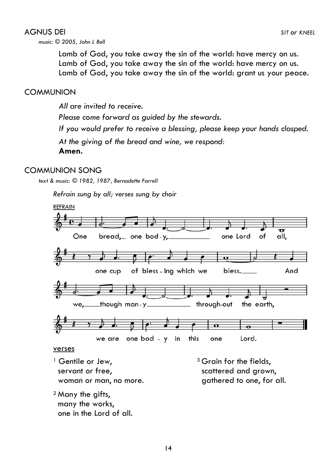#### AGNUS DEI *SIT or KNEEL*

 *music: © 2005, John L Bell*

Lamb of God, you take away the sin of the world: have mercy on us. Lamb of God, you take away the sin of the world: have mercy on us. Lamb of God, you take away the sin of the world: grant us your peace.

#### COMMUNION

*All are invited to receive.*

*Please come forward as guided by the stewards.*

*If you would prefer to receive a blessing, please keep your hands clasped.*

*At the giving of the bread and wine, we respond:* **Amen.**

#### COMMUNION SONG

 *text & music: © 1982, 1987, Bernadette Farrell*

*Refrain sung by all; verses sung by choir*

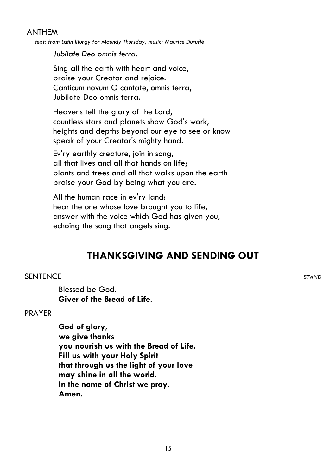#### **ANTHFM**

 *text: from Latin liturgy for Maundy Thursday; music: Maurice Duruflé*

*Jubilate Deo omnis terra.*

Sing all the earth with heart and voice, praise your Creator and rejoice. Canticum novum O cantate, omnis terra, Jubilate Deo omnis terra.

Heavens tell the glory of the Lord, countless stars and planets show God's work, heights and depths beyond our eye to see or know speak of your Creator's mighty hand.

Ev'ry earthly creature, join in song, all that lives and all that hands on life; plants and trees and all that walks upon the earth praise your God by being what you are.

All the human race in ev'ry land: hear the one whose love brought you to life, answer with the voice which God has given you, echoing the song that angels sing.

### **THANKSGIVING AND SENDING OUT**

### SENTENCE *STAND*

Blessed be God. **Giver of the Bread of Life.**

#### PRAYER

**God of glory, we give thanks you nourish us with the Bread of Life. Fill us with your Holy Spirit that through us the light of your love may shine in all the world. In the name of Christ we pray. Amen.**